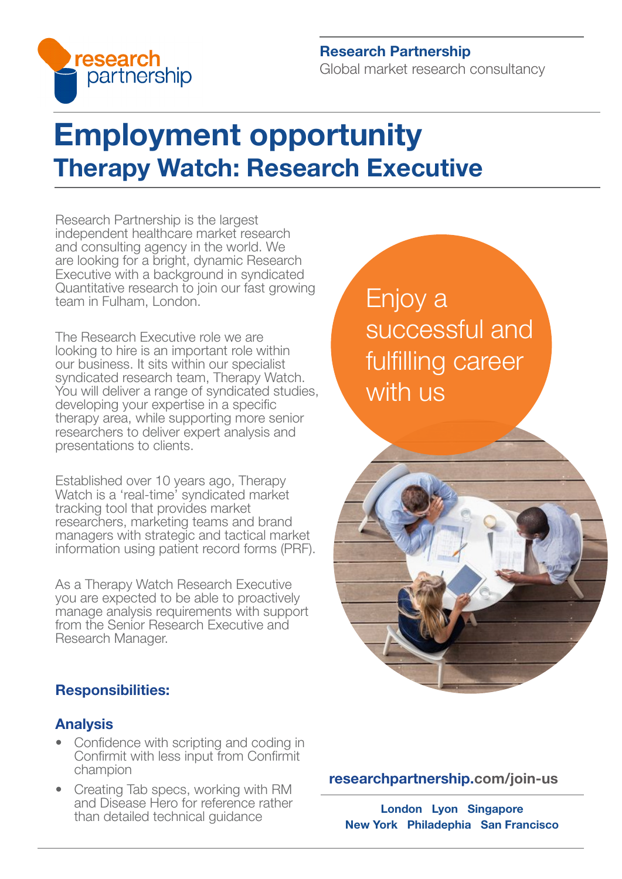

# Research Partnership Global market research consultancy

# Employment opportunity Therapy Watch: Research Executive

Research Partnership is the largest independent healthcare market research and consulting agency in the world. We are looking for a bright, dynamic Research Executive with a background in syndicated Quantitative research to join our fast growing team in Fulham, London.

The Research Executive role we are looking to hire is an important role within our business. It sits within our specialist syndicated research team, Therapy Watch. You will deliver a range of syndicated studies, developing your expertise in a specific therapy area, while supporting more senior researchers to deliver expert analysis and presentations to clients.

Established over 10 years ago, Therapy Watch is a 'real-time' syndicated market tracking tool that provides market researchers, marketing teams and brand managers with strategic and tactical market information using patient record forms (PRF).

As a Therapy Watch Research Executive you are expected to be able to proactively manage analysis requirements with support from the Senior Research Executive and Research Manager.

# Responsibilities:

### Analysis

- Confidence with scripting and coding in Confirmit with less input from Confirmit champion
- Creating Tab specs, working with RM and Disease Hero for reference rather than detailed technical guidance

Enjoy a successful and fulfilling career with us



#### [researchpartnership.com/join-us](https://www.researchpartnership.com/join-us)

London Lyon Singapore New York Philadephia San Francisco